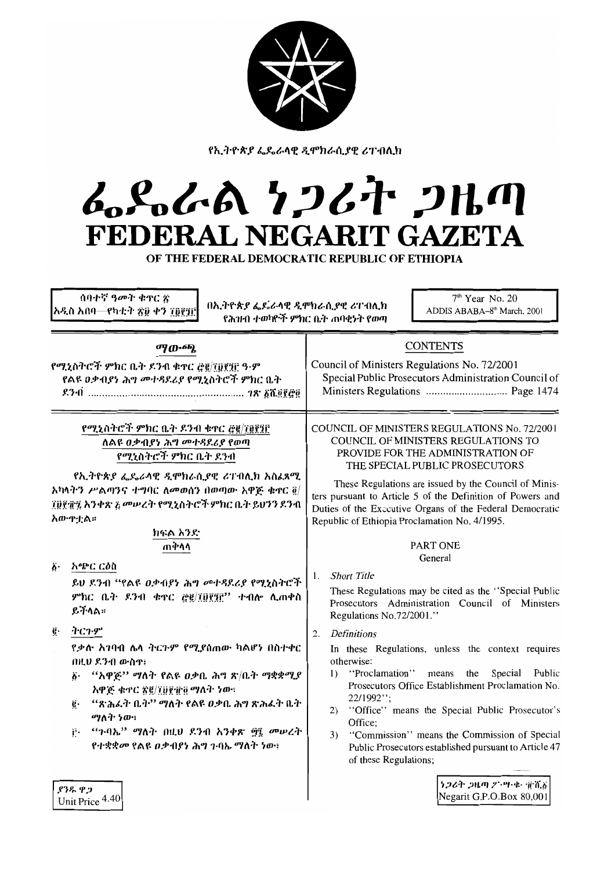

የኢትዮጵያ ፌዴራላዊ ዲሞክራሲያዊ ሪፐብሊክ

# んとんよ りつびれ つりの FEDERAL NEGARIT GAZETA

OF THE FEDERAL DEMOCRATIC REPUBLIC OF ETHIOPIA

| ሰባተኛ ዓመት ቁኖር ጽ<br>በኢትዮጵያ ፌዴራላዊ ዲሞክራሲያዊ ሪፐብሊክ<br>አዲስ አበባ—የካቲት ጽ፱ ቀን ፲፬፻፺፫<br>የሕዝብ ተወካዮች ምክር ቤት ጠባቂነት የወጣ                                                                                                                                                                                                                                                                                                                                                                                                                                                                                                                                          | $7th$ Year No. 20<br>ADDIS ABABA-8 <sup>th</sup> March, 2001                                                                                                                                                                                                                                                                                                                                                                                                                                                                                                                                                                                                                                                                                                                                                                                                                                                                                                                                                               |  |
|--------------------------------------------------------------------------------------------------------------------------------------------------------------------------------------------------------------------------------------------------------------------------------------------------------------------------------------------------------------------------------------------------------------------------------------------------------------------------------------------------------------------------------------------------------------------------------------------------------------------------------------------------|----------------------------------------------------------------------------------------------------------------------------------------------------------------------------------------------------------------------------------------------------------------------------------------------------------------------------------------------------------------------------------------------------------------------------------------------------------------------------------------------------------------------------------------------------------------------------------------------------------------------------------------------------------------------------------------------------------------------------------------------------------------------------------------------------------------------------------------------------------------------------------------------------------------------------------------------------------------------------------------------------------------------------|--|
| ማውጫ<br>የሚኒስትሮች ምክር ቤት ደንብ ቁዋር ፸፪/፲፱፻፶፫ ዓ-ም<br>የልዩ ዐቃብያነ ሕግ መተዳደሪያ የሚኒስትሮች ምክር ቤት                                                                                                                                                                                                                                                                                                                                                                                                                                                                                                                                                                 | <b>CONTENTS</b><br>Council of Ministers Regulations No. 72/2001<br>Special Public Prosecutors Administration Council of                                                                                                                                                                                                                                                                                                                                                                                                                                                                                                                                                                                                                                                                                                                                                                                                                                                                                                    |  |
| የሚኒስትሮች ምክር ቤት ዶንብ ቁተር ፸፪/፲፱፻፺፫<br>ለልዩ <i>ዐቃ</i> ብያነ ሕግ <i>መተዳ</i> ደሪያ የወጣ<br>የሚኒስትሮች ምክር ቤት ደንብ<br>የኢትዮጵያ ፌዴራላዊ ዲሞክራሲያዊ ሪፐብሊክ አስፈጻሚ<br>አካላትን ሥልጣንና ተግባር ለመወሰን በወጣው አዋጅ ቁጥር ፬/<br>፲፱፻፹፯ አንቀጽ ፩ መሠረት የሚኒስትሮች ምክር ቤት ይህንን ደንብ<br>አው ዋቷል።<br>ክፍል አንድ<br>ጠቅሳሳ<br>አጭር ርዕስ<br>Ö٠<br>ይህ ደንብ "የልዩ ዐቃብያነ ሕግ መተዳደሪያ የሚኒስትሮች<br>ምክር ቤት ደንብ ቁኖር <u>ሮ፪/፲፱፻፺፫</u> " ተብሎ ሊጠቀስ<br>ይችላል።<br>ふくひぞ<br>ğ.<br>የቃሉ አገባብ ሌላ ተርጉም የሚያሰጠው ካልሆነ በስተቀር<br>በዚህ ደንብ ውስዋ፤<br>"አዋጅ" ማለት የልዩ ዐቃቤ ሕግ ጽ/ቤት ማቋቋሚያ<br>ö٠<br>አዋጅ ቁጥር ጽ፪/፲፱፻፹፬ ማለት ነው።<br>"ጽሕፈት ቤት'' ማለት የልዩ ዐቃቤ ሕግ ጽሕፈት ቤት<br>ë٠<br>ማለት ነው፡<br>"ጉባኤ" ማለት በዚህ ደንብ አንቀጽ ፵፯ መሠረት<br>Ë.<br>የተቋቋመ የልዩ ዐቃብያነ ሕግ ጉባኤ ማለት ነው፤ | COUNCIL OF MINISTERS REGULATIONS No. 72/2001<br>COUNCIL OF MINISTERS REGULATIONS TO<br>PROVIDE FOR THE ADMINISTRATION OF<br>THE SPECIAL PUBLIC PROSECUTORS<br>These Regulations are issued by the Council of Minis-<br>ters pursuant to Article 5 of the Definition of Powers and<br>Duties of the Executive Organs of the Federal Democratic<br>Republic of Ethiopia Proclamation No. 4/1995.<br><b>PART ONE</b><br>General<br><b>Short Title</b><br>1.<br>These Regulations may be cited as the "Special Public<br>Prosecutors Administration Council of Ministers<br>Regulations No.72/2001."<br><b>Definitions</b><br>2.<br>In these Regulations, unless the context requires<br>otherwise:<br>"Proclamation"<br>the<br>Special<br>Public<br>means<br>$\mathbf{I}$<br>Prosecutors Office Establishment Proclamation No.<br>22/1992";<br>"Office" means the Special Public Prosecutor's<br>2)<br>Office:<br>"Commission" means the Commission of Special<br>3)<br>Public Prosecutors established pursuant to Article 47 |  |
| ደንዱ ዋጋ<br>Unit Price 4.40                                                                                                                                                                                                                                                                                                                                                                                                                                                                                                                                                                                                                        | of these Regulations;<br>うつです つルの プ・ツ・セー 定着者<br>Negarit G.P.O.Box 80,001                                                                                                                                                                                                                                                                                                                                                                                                                                                                                                                                                                                                                                                                                                                                                                                                                                                                                                                                                   |  |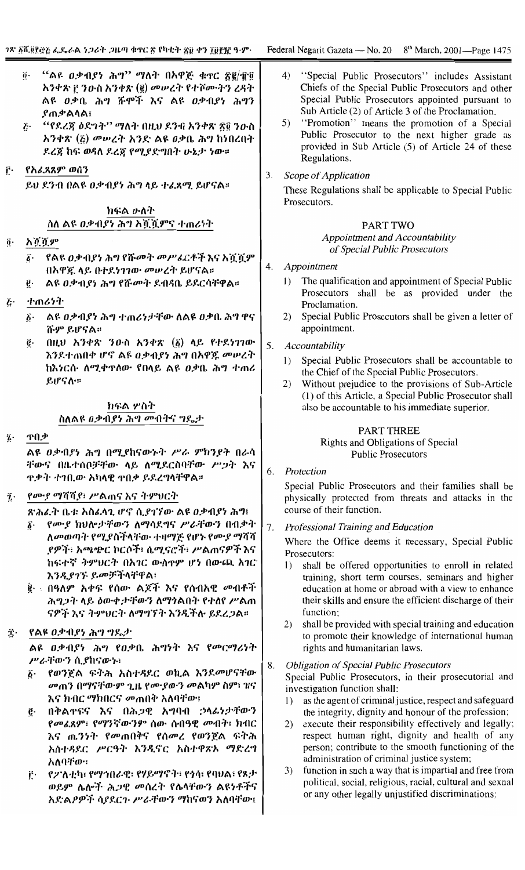- $``$ ልዩ  $0$ ቃብያነ ሕግ $"$  ማለት በአዋጅ ቁጥር ጽ፪ $/\hat{\mathbf{T}}$ ፬  $\ddot{\theta}$ . አንቀጽ F ንዑስ አንቀጽ (፪) መሠረት የተሾሙትን ረዳት ልዩ *ዐቃ*ቤ ሕግ ሹሞች እና ልዩ *ዐቃብያነ ሕግ*ን ያጠቃልላል፤
- "የደረጃ ዕድገት" ማለት በዚህ ደንብ አንቀጽ ፳፬ ንውስ  $\tilde{c}$ . አንቀጽ (¿) መሠረት አንድ ልዩ ዐቃቤ ሕግ ከነበረበት ደረጃ ከፍ ወዳለ ደረጃ የሚያድግበት ሁኔታ ነው።
- <u>բ</u>. የአፈጻጸም ወሰን

ይህ ደንብ በልዩ ዐቃብያነ ሕግላይ ተፈጸሚ ይሆናል።

# ክፍል ሁለት ስለ ልዩ ዐቃብያነ ሕግ አሿሿምና ተጠሪነት

- አሿሿም  $\ddot{\mathbf{0}}$ .
	- የልዩ ዐቃብያነ ሕግ የሹመት መሥራርቶች እና አሿሿም  $\boldsymbol{\delta}$ . በአዋጃ ላይ በተደነገገው መሠረት ይሆናል።
	- ልዩ ዐቃብያነ ሕግ የሹመት ደብዳቤ ይደርሳቸዋል። ë.
- ተጠሪነት Ë٠
	- ልዩ ዐቃብያነ ሕግ ተጠሪነታቸው ለልዩ ዐቃቤ ሕግ ዋና  $\hat{\boldsymbol{b}}$ . ሹም ይሆናል።
	- በዚህ አንቀጽ ንውስ አንቀጽ (፩) ላይ የተደነገገው ę. እንደተጠበቀ ሆኖ ልዩ ዐቃብያነ ሕግ በአዋጁ መሠረት ከእነርሱ ለሚቀዋለው የበላይ ልዩ ዐቃቤ ሕግ ተጠሪ ይሆናሉ።

# ክፍል ሦስት ስለልዩ *ዐቃብያነ ሕግ መ*ብትና ግዴታ

ዋበቃ  $\ddot{\mathbf{z}}$ .

> ልዩ ዐቃብያነ ሕግ በሚያከናውኑት ሥራ ምክንያት በራሳ ቸውና በቤተሰቦቻቸው ላይ ለሚደርስባቸው ሥጋት እና <u>ዋቃት ተገቢው አካላዊ ዋበቃ ይደረግላቸዋል።</u>

#### የሙያ ማሻሻያ፣ ሥልጠና እና ትምህርት  $\ddot{\mathbf{z}}$ .

ጽሕፈት ቤቱ አስፈላጊ ሆኖ ሲያገኘው ልዩ ዐቃብያነ ሕግ፤

- የሙያ ክህሎታቸውን ለማሳደግና ሥራቸውን በብቃት δ. ለመወጣት የሚያስችላቸው ተዛማጅ የሆኑ የሙያ ማሻሻ ያዎች፣ አጫጭር ኮርሶች፣ ሴሚናሮች፣ ሥልጠናዎች እና ከፍተኛ ትምህርት በአገር ውስዋም ሆነ በውጪ አገር እንዲያገኙ ይመቻችላቸዋል፣
- ፪· በዓለም አቀፍ የሰው ልጆች እና የሰብአዊ *መ*ብቶች ሕግጋት ላይ ዕውቀታቸውን ለማንልበት የተለየ ሥልጠ ናዎች እና ትምህርት ለማግኘት እንዲችሉ ይደረጋል።

#### Ë٠ የልዩ ዐቃብያነ ሕግ ግጼታ

ልዩ ዐቃብያነ ሕግ የዐቃቤ ሕግነት እና የመርማሪነት ሥራቸውን ሲያከናውኑ፡

- የወንጀል ፍትሕ አስተዳደር ወኪል እንደመሆናቸው ች• መጠን በማናቸውም ጊዜ የሙያውን መልካም ስም፣ ዝና እና ክብር ማክበርና መጠበቅ አለባቸው፤
- በቅልዋፍና እና በሕጋዊ አማባብ ኃላፊነታቸውን ë. የመሬጸም፣ የማንኛውንም ሰው ሰብዓዊ መብት፣ ክብር እና ጤንነት የመጠበቅና የሰመረ የወንጀል ፍትሕ አስተዳደር ሥርዓት እንዲኖር አስተዋጽኦ ማድረግ አለባቸው።
- የፖለቲካ፣ የማኅበራዊ፣ የሃይማኖት፣ የጎሳ፣ የባህል፣ የጾታ Ë. ወይም ሴሎች ሕጋዊ መሰረት የሴላቸውን ልዩነቶችና አድልዖዎች ሳያደርጉ ሥራቸውን ማከናወን አለባቸው፤
- $4)$ "Special Public Prosecutors" includes Assistant Chiefs of the Special Public Prosecutors and other Special Public Prosecutors appointed pursuant to Sub Article (2) of Article 3 of the Proclamation.
- 5) "Promotion" means the promotion of a Special Public Prosecutor to the next higher grade as provided in Sub Article (5) of Article 24 of these Regulations.
- $\overline{3}$ . Scope of Application

These Regulations shall be applicable to Special Public Prosecutors.

# PART TWO

# **Appointment and Accountability** of Special Public Prosecutors

- 4. Appointment
	- The qualification and appointment of Special Public  $\left( \right)$ Prosecutors shall be as provided under the Proclamation.
	- 2) Special Public Prosecutors shall be given a letter of appointment.

#### 5. Accountability

- 1) Special Public Prosecutors shall be accountable to the Chief of the Special Public Prosecutors.
- Without prejudice to the provisions of Sub-Article  $2)$ (1) of this Article, a Special Public Prosecutor shall also be accountable to his immediate superior.

# **PART THREE**

Rights and Obligations of Special **Public Prosecutors** 

6. Protection

> Special Public Prosecutors and their families shall be physically protected from threats and attacks in the course of their function.

7. Professional Training and Education

> Where the Office deems it necessary, Special Public Prosecutors:

- 1) shall be offered opportunities to enroll in related training, short term courses, seminars and higher education at home or abroad with a view to enhance their skills and ensure the efficient discharge of their function:
- 2) shall be provided with special training and education to promote their knowledge of international human rights and humanitarian laws.
- **Obligation of Special Public Prosecutors** 8. Special Public Prosecutors, in their prosecutorial and investigation function shall:
	- 1) as the agent of criminal justice, respect and safeguard the integrity, dignity and honour of the profession;
	- 2) execute their responsibility effectively and legally; respect human right, dignity and health of any person; contribute to the smooth functioning of the administration of criminal justice system;
	- 3) function in such a way that is impartial and free from political, social, religious, racial, cultural and sexual or any other legally unjustified discriminations;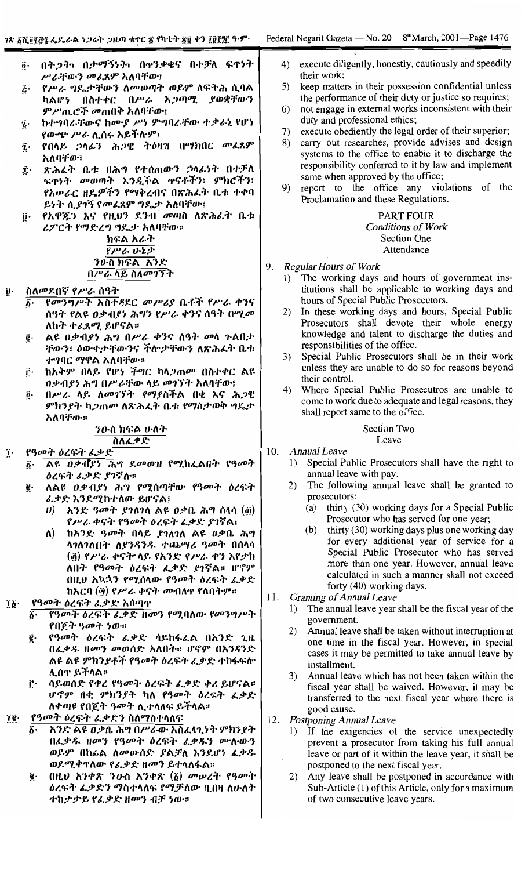- በትጋት፣ በታማኝነት፣ በዋንቃቄና በተቻለ ፍዋነት  $\ddot{\mathbf{0}}$  . ሥራቸውን መፈጸም አለባቸው፤
- የሥራ ግዴታቸውን ለመወጣት ወይም ለፍትሕ ሲባል Į٠ ካልሆነ በስተቀር በሥራ አ*ጋጣሚ ያወ*ቋቸውን ምሥጢሮች መጠበቅ አለባቸው፤
- ከተማባራቸውና ከሙያ ሥነ ምግባራቸው ተቃራኒ የሆነ  $\tilde{\mathbf{z}}$  . የውጭ ሥራ ሊሰሩ አይችሉም፤
- የበላይ ኃላፊን ሕጋዊ ትዕዛዝ በማክበር መፈጸም  $\tilde{\mathbf{z}}$ . አለባቸው፤
- ጽሕፈት ቤቱ በሕግ የተሰጠውን ኃላፊነት በተቻለ Ĵ٠ ፍዋነት መወጣት እንዲችል ዋናቶችን፣ ምክሮችን፣ የአሥራር ዘዴዎችን የማቅረብና በጽሕፈት ቤቱ ተቀባ ይነት ሲያገኝ የመፈጸም ግዴታ አለባቸው፤
- የአዋጁን እና የዚህን ደንብ መጣስ ለጽሕፈት ቤቱ Î۰ ሪፖርት የማድረግ ግዴታ አለባቸው። ክፍል አራት

# የሥራ ሁኔታ <u>ንውስ ክፍል አንድ</u> በሥራ ላይ ስለመገኘት

- ስለመደበኛ የሥራ ሰዓት
	- የመንግሥት አስተዳደር መሥሪያ ቤቶች የሥራ ቀንና ሰዓት የልዩ ዐቃብያነ ሕግን የሥራ ቀንና ሰዓት በሚመ ለከት ተፈጻሚ ይሆናል።
	- ልዩ ዐቃብያነ ሕግ በሥራ ቀንና ሰዓት መላ ጉልበታ ĝ. ቸውን፣ ዕውቀታቸውንና ችሎታቸውን ለጽሕፈት ቤቱ *ተግባር ማዋ*ል አለባቸው።
	- ከአቅም በላይ የሆነ ችግር ካላ*ጋ*ጠመ በስተቀር ልዩ Ë٠ ዐቃብያነ ሕግ በሥራቸው ላይ መገኘት አለባቸው፤
	- በሥራ ላይ ለመገኘት የማያስችል በቂ እና ሕጋዊ  $\vec{\bm{\theta}}\cdot$ ምክንያት ካ*ጋ*ጠ*መ* ለጽሕፈት ቤቱ የማስታወቅ ግዴታ አለባቸው።

# ንውስ ክፍል ሁለት ስለፌቃድ

- የዓመት ዕረፍት ፌቃድ ĩ.
	- Aዩ ዐቃብያነ ሕግ ደመወዝ የሚከፌልበት የዓመት  $\hat{b}$ ዕረፍት ፌቃድ ያገኛሉ።
	- ለልዩ ዐቃብያነ ሕግ የሚሰጣቸው የዓመት ዕረፍት ë. ፌቃድ እንደሚከተለው ይሆናል፤
		- . አንድ ዓመት ያገለገለ ልዩ ዐቃቤ ሕግ ሰላሳ (፴)  $\boldsymbol{v}$ የሥራ ቀናት የዓመት ዕረፍት ፌቃድ ያገኛል፤
		- ከአንድ ዓመት በላይ ያገለገለ ልዩ ዐቃቤ ሕግ ለ) ሳንስንስበት *ስያንዳንዱ ተጨማሪ ዓመት* በሰላሳ (፴) የሥራ ቀናት ላይ የአንድ የሥራ ቀን እየታከ ለበት የዓመት ዕረፍት ፌቃድ ያገኛል። ሆኖም በዚህ አኳኋን የሚሰላው የዓመት ዕረፍት ፌቃድ ከአርባ (፵) የሥራ ቀናት መብለዋ የለበትም።
- *የዓመት ዕረፍት ፌቃድ አ*ሰጣዋ ĩδ·
	- የዓመት ዕረፍት ፊቃድ ዘመን የሚባለው የመንግሥት б. የበጀት ዓመት ነው።
	- የዓመት ዕረፍት ፌቃድ ሳይከፋፌል በአንድ ጊዜ ĝ. በፌቃዱ ዘመን መወሰድ አለበት። ሆኖም በአንዳንድ ልዩ ልዩ ምክንያቶች የዓመት ዕረፍት ፌቃድ ተከፋፍሎ ሊሰዋ ይችላል።
	- ሳይወሰድ የቀረ የዓመት ዕረፍት ፌቃድ ቀሪ ይሆናል። ŕ٠ ሆኖም በቂ ምክንያት ካለ የዓመት ዕረፍት ፌቃድ ለቀጣዩ የበጀት ዓመት ሊተሳለፍ ይችላል።
- ĩĝ. የዓመት ዕረፍት ፌቃድን ስለማስተላለፍ
	- አንድ ልዩ ዐቃቤ ሕግ በሥራው አስፈላጊነት ምክንያት በፌቃዱ ዘመን የዓመት ዕረፍት ፌቃዱን ሙሉውን ወይም በከፊል ለመውሰድ ያልቻለ እንደሆነ ፌቃዱ ወደሚቀዋለው የፌቃድ ዘመን ይተላለፋል።
	- በዚህ አንቀጽ ንውስ አንቀጽ (፩) መሠረት የዓመት ĝ. ዕረፍት ፌቃድን ማስተላለፍ የሚቻለው ቢበዛ ለሁለት ተከታታይ የፌቃድ ዘመን ብቻ ነው።
- execute diligently, honestly, cautiously and speedily  $4)$ their work;
- 5) keep matters in their possession confidential unless the performance of their duty or justice so requires;
- not engage in external works inconsistent with their 6) duty and professional ethics;
- execute obediently the legal order of their superior; 7)
- carry out researches, provide advises and design 8) systems to the office to enable it to discharge the responsibility conferred to it by law and implement same when approved by the office;
- report to the office any violations of the 9) Proclamation and these Regulations.

# **PART FOUR Conditions of Work Section One** Attendance

- 9. Regular Hours of Work
	- The working days and hours of government ins- $\mathbf{I}$ titutions shall be applicable to working days and hours of Special Public Prosecutors.
	- In these working days and hours, Special Public 2) Prosecutors shall devote their whole energy knowledge and talent to discharge the duties and responsibilities of the office.
	- 3) Special Public Prosecutors shall be in their work unless they are unable to do so for reasons beyond their control.
	- Where Special Public Prosecutros are unable to  $4)$ come to work due to adequate and legal reasons, they shall report same to the office.

# Section Two

- Leave
- 10. **Annual Leave** 
	- Special Public Prosecutors shall have the right to 1) annual leave with pay.
	- The following annual leave shall be granted to  $(2)$ prosecutors:
		- thirty (30) working days for a Special Public  $(a)$ Prosecutor who has served for one year;
		- $(b)$ thirty (30) working days plus one working day for every additional year of service for a Special Public Prosecutor who has served more than one year. However, annual leave calculated in such a manner shall not exceed forty (40) working days.
- 11. **Granting of Annual Leave** 
	- The annual leave year shall be the fiscal year of the 1) government.
	- Annual leave shall be taken without interruption at 2) one time in the fiscal year. However, in special cases it may be permitted to take annual leave by installment.
	- 3) Annual leave which has not been taken within the fiscal year shall be waived. However, it may be transferred to the next fiscal year where there is good cause.
- 12. Postponing Annual Leave
	- If the exigencies of the service unexpectedly 1) prevent a prosecutor from taking his full annual leave or part of it within the leave year, it shall be postponed to the next fiscal year.
	- $(2)$ Any leave shall be postponed in accordance with Sub-Article (1) of this Article, only for a maximum of two consecutive leave years.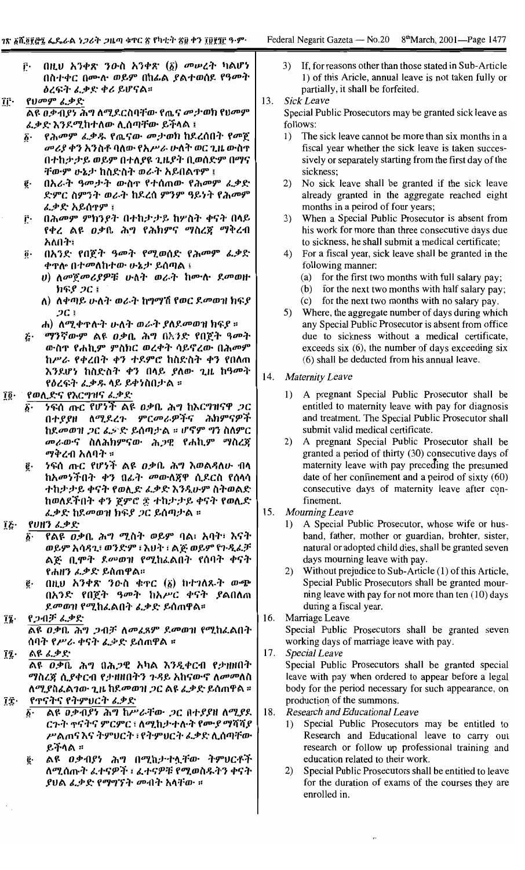- በዚህ አንቀጽ ንውስ አንቀጽ (፩) መሥረት ካልሆነ ŗ٠ በስተቀር በሙሉ ወይም በከፊል ያልተወሰደ የዓመት ዕረፍት ፌቃድ ቀሪ ይሆናል።
- የሀመም ፈቃድ <u>ልዩ ዐቃብያነ ሕግ ለሚደርስባቸው የጤና መታወክ የህመም</u> <u> ፈቃድ እንደሚከተለው ሊሰጣቸው ይችላል ፤</u>
	- የሕመም ፈቃዱ የጤናው መታወክ ከደረሰበት የመጀ  $\vec{b}$ . መሪያ ቀን አንስቶ ባለው የአሥራ ሁለት ወር ጊዜ ውስዋ በተከታታይ ወይም በተለያዩ ጊዜያት ቢወሰድም በማና ቸውም ሁኔታ ከስድስት ወራት አይበልዋም ፤
	- በአራት ዓመታት ውስዋ የተሰጠው የሕመም ፌቃድ ē٠ ድምር ስምንት ወራት ከደረሰ ምንም ዓይነት የሕመም ፌቃድ አይሰዋም ፣
- በሕመም ምክንያት በተከታታይ ከሦስት ቀናት በላይ ŕ٠ የቀረ ልዩ ዐቃቤ ሕግ የሕክምና ማስረጃ ማቅረብ አለበት፣
- በአንድ የበጀት ዓመት የሚወሰድ የሕመም ፌቃድ  $\overline{0}$ . ቀዋሎ በተመለከተው ሁኔታ ይሰጣል ፤
	- ሀ) ለመጀመሪያዎቹ ሁለት ወራት ከሙሉ ደመወዙ ከፍያ *ጋ*ር ፤
	- ለ) ለቀጣይ ሁለት ወራት ከግማሽ የወር ደመወዝ ክፍያ  $2C_1$
	- ሐ) ለሚቀጥሉት ሁለት ወራት ያለደመወዝ ክፍያ ፡፡
- *ሚንኛውም ል*ዩ *ዐቃ*ቤ ሕግ በእንድ የበጀት ዓመት  $\boldsymbol{\tilde{c}}$ . ውስጥ የሐኪም ምስክር ወረቀት ሳይኖረው በሕመም ከሥራ የቀረበት ቀን ተደምሮ ከስድስት ቀን የበለጠ እንደሆነ ከስድስት ቀን በላይ ያለው ጊዜ ከዓመት የዕረፍት ፌቃዱ ላይ ይቀነስበታል ፡፡
- የወሊድና የእርግዝና ፈቃድ îĝ∙
	- ንፍሰ ጡር የሆነች ልዩ ዐቃቤ ሕግ ከእርግዝናዋ *ጋ*ር δ. በተያያዘ ለሚደረጉ ምርመራዎችና ሕክምናዎች ከደመወዝ ጋር ፌድድ ይሰጣታል ፡፡ ሆኖም ግን ስለምር መራውና ስለሕክምናው ሕጋዊ የሐኪም ማስረጃ ማቅረብ አለባት ።
	- *ነ*ፍሰ ጡር የሆነች ልዩ *ዐቃ*ቤ ሕግ እወልዳለሁ ብላ ĝ. ከአመነችበት ቀን በፊት መውለጀዋ ሲደርስ የሰላሳ ተከታታይ ቀናት የወሊድ ፈቃድ እንዲሁም ስትወልድ ከወለደችበት ቀን ጀምሮ ፳ ተከታታይ ቀናት የወሊድ *ፌ*ቃድ ከደመወዝ ክፍያ *ጋ*ር ይሰጣታል ፡፡
- የሀዘን ፌቃድ ΪĘ.

ÎΓ.

- የልዩ ወቃቤ ሕግ ሚስት ወይም ባል፣ አባት፣ እናት ወይም አሳዳጊ፣ ወንድም ፣ እህት ፣ ልጅ ወይም የጉዲፈቻ ልጅ ቢሞት ደመወዝ የሚከፌልበት የሰባት ቀናት የሐዘን ፌቃድ ይሰጠዋል።
- በዚህ አንቀጽ ንውስ ቁዋር (፩) ከተገለጹት ውጭ ĝ. በአንድ የበጀት ዓመት ከአሥር ቀናት ያልበለጠ ደመወዝ የሚከፌልበት ፌቃድ ይሰጠዋል፡፡
- የጋብቻ ፈቃድ īī.
- <u>ልዩ ዐቃቤ ሕግ ጋብቻ ለመፈጸም ደመወዝ የሚከፈልበት</u> ሰባት የሥራ ቀናት ፌቃድ ይሰጠዋል ፡፡
- ልዩ ፈቃድ ĩį. <u>ልዩ ወቃቤ ሕግ በሕጋዊ አካል እንዲቀርብ የታነዘበት</u> ማስረጃ ሲያቀርብ የታዘዘበትን ጉዳይ አከናውኖ ለመመለስ ለሚያስፈልገው ጊዜ ከደመወዝ ጋር ልዩ ፈቃድ ይሰጠዋል ።
- የተናትና የትምህርት ፌቃድ ĴΫ.
	- ልዩ ወቃብያነ ሕግ ከሥራቸው ጋር በተያያዘ ለሚያደ ርጉት ተናትና ምርምር ፣ ለሚከታተሉት የሙያ ማሻሻያ ሥልጠና እና ትምህርት ፣ የትምህርት ፌቃድ ሊሰጣቸው ይችላል ።
	- ĝ. ልዩ ወቃብያነ ሕግ በሚከታተሏቸው ትምሀርቶች ለሚሰጡት ፌተናዎች ፣ ፌተናዎቹ የሚወስዱትን ቀናት ያህል ፈቃድ የማግኘት መብት አሳቸው ።
- If, for reasons other than those stated in Sub-Article 3) 1) of this Aricle, annual leave is not taken fully or partially, it shall be forfeited.
- 13. Sick Leave

Special Public Prosecutors may be granted sick leave as follows:

- $\left( \right)$ The sick leave cannot be more than six months in a fiscal year whether the sick leave is taken successively or separately starting from the first day of the sickness:
- 2) No sick leave shall be granted if the sick leave already granted in the aggregate reached eight months in a peirod of four years;
- 3) When a Special Public Prosecutor is absent from his work for more than three consecutive days due to sickness, he shall submit a medical certificate;
- 4) For a fiscal year, sick leave shall be granted in the following manner:
	- (a) for the first two months with full salary pay;
	- (b) for the next two months with half salary pay;
	- (c) for the next two months with no salary pay.
- 5) Where, the aggregate number of days during which any Special Public Prosecutor is absent from office due to sickness without a medical certificate, exceeds six  $(6)$ , the number of days exceeding six (6) shall be deducted from his annual leave.
- 14. **Maternity Leave** 
	- A pregnant Special Public Prosecutor shall be  $1)$ entitled to maternity leave with pay for diagnosis and treatment. The Special Public Prosecutor shall submit valid medical certificate.
	- 2) A pregnant Special Public Prosecutor shall be granted a period of thirty (30) consecutive days of maternity leave with pay preceding the presumed date of her confinement and a peirod of sixty  $(60)$ consecutive days of maternity leave after confinement.
- 15. Mourning Leave
	- 1) A Special Public Prosecutor, whose wife or husband, father, mother or guardian, brohter, sister, natural or adopted child dies, shall be granted seven days mourning leave with pay.
	- 2) Without prejudice to Sub-Article (1) of this Article, Special Public Prosecutors shall be granted mourning leave with pay for not more than ten  $(10)$  days during a fiscal year.
- 16. Marriage Leave

Special Public Prosecutors shall be granted seven working days of marriage leave with pay.

17. Special Leave

Special Public Prosecutors shall be granted special leave with pay when ordered to appear before a legal body for the period necessary for such appearance, on production of the summons.

- Research and Educational Leave 18.
	- 1) Special Public Prosecutors may be entitled to Research and Educational leave to carry out research or follow up professional training and education related to their work.
	- 2) Special Public Prosecutors shall be entitled to leave for the duration of exams of the courses they are enrolled in.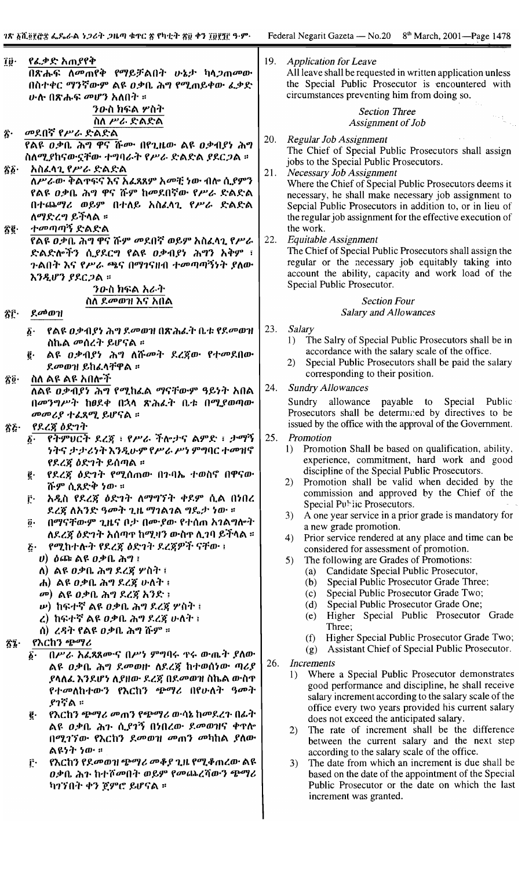$\blacksquare$ 

| Î₿∙<br>$\bar{\mathbf{z}}$ .<br>$\delta \hat{\rho}$ .<br>Ŝĝ∙ | የፌቃድ አጠያየቅ<br>በጽሑፍ ለመጠየቅ የማይቻልበት ሁኔታ ካላጋጠመው<br>በስተቀር ማንኛውም ልዩ ዐቃቤ ሕግ የሚጠይቀው ፌቃድ<br><u>ሁ</u> ሉ በጽሑፍ መሆን አለበት ፡፡<br><i>ንዑ</i> ስ ክፍል ሦስት<br>ስለ ሥራ ድልድል<br>መደበኛ የሥራ ድልድል<br>የልዩ ዐቃቤ ሕግ ዋና ሹሙ በየጊዜው ልዩ ዐቃብያነ ሕግ<br>ስለሚያከናውኗቸው ተግባራት የሥራ ድልድል ያደርጋል ።<br>አስፈላጊ የሥራ ድልድል<br>ለሥራው ቅልዋፍና እና አፈጻጸም አመቺ ነው ብሎ ሲያምን<br>የልዩ ዐቃቤ ሕግ ዋና ሹም ከመደበኛው የሥራ ድልድል<br>በተጨማሪ ወይም በተለይ አስፈላጊ የሥራ ድልድል<br>ለማድረግ ይችላል ፡፡<br>ተመጣጣኝ ድልድል<br>የልዩ ዐቃቤ ሕግ ዋና ሹም መደበኛ ወይም አስፈላጊ የሥራ                                                                                                    | 19. Application for Leave<br>All leave shall be requested in written application unless<br>the Special Public Prosecutor is encountered with<br>circumstances preventing him from doing so.<br><b>Section Three</b><br>Assignment of Job<br>Regular Job Assignment<br>20.<br>The Chief of Special Public Prosecutors shall assign<br>jobs to the Special Public Prosecutors.<br><b>Necessary Job Assignment</b><br>21.<br>Where the Chief of Special Public Prosecutors deems it<br>necessary, he shall make necessary job assignment to<br>Sepcial Public Prosecutors in addition to, or in lieu of<br>the regular job assignment for the effective execution of<br>the work.<br>Equitable Assignment                                                                                                                                                                               |  |  |
|-------------------------------------------------------------|-------------------------------------------------------------------------------------------------------------------------------------------------------------------------------------------------------------------------------------------------------------------------------------------------------------------------------------------------------------------------------------------------------------------------------------------------------------------------------------------------------------------------------------------------------|--------------------------------------------------------------------------------------------------------------------------------------------------------------------------------------------------------------------------------------------------------------------------------------------------------------------------------------------------------------------------------------------------------------------------------------------------------------------------------------------------------------------------------------------------------------------------------------------------------------------------------------------------------------------------------------------------------------------------------------------------------------------------------------------------------------------------------------------------------------------------------------|--|--|
|                                                             | ድልድሎችን ሲያደርግ የልዩ ዐቃብያነ ሕግን አቅም ፣<br>ጉልበት እና የሥራ ጫና በማገናዘብ ተመጣጣኝነት ያለው<br>እንዲሆን ያደርጋል ፡፡<br><i>ንዑ</i> ስ ክፍል አራት<br>ስለ ደመወዝ እና አበል                                                                                                                                                                                                                                                                                                                                                                                                                      | The Chief of Special Public Prosecutors shall assign the<br>regular or the necessary job equitably taking into<br>account the ability, capacity and work load of the<br>Special Public Prosecutor.<br><b>Section Four</b>                                                                                                                                                                                                                                                                                                                                                                                                                                                                                                                                                                                                                                                            |  |  |
| ፳፫∙                                                         | ደመወዝ                                                                                                                                                                                                                                                                                                                                                                                                                                                                                                                                                  | Salary and Allowances                                                                                                                                                                                                                                                                                                                                                                                                                                                                                                                                                                                                                                                                                                                                                                                                                                                                |  |  |
|                                                             | የልዩ ዐቃብያነ ሕግ ደመወዝ በጽሕፈት ቤቱ የደመወዝ<br>$\boldsymbol{\delta}$ .<br>ስኬል መሰረት ይሆናል ፡፡<br>ልዩ ዐቃብያነ ሕግ ለሹመት ደረጀው የተመደበው<br>ĝ.<br>ደመወዝ ይከፈላቸዋል ፡፡                                                                                                                                                                                                                                                                                                                                                                                                              | 23.<br><b>Salary</b><br>1) The Salry of Special Public Prosecutors shall be in<br>accordance with the salary scale of the office.<br>Special Public Prosecutors shall be paid the salary<br>2)                                                                                                                                                                                                                                                                                                                                                                                                                                                                                                                                                                                                                                                                                       |  |  |
| $\mathbf{\hat{z}}\mathbf{\hat{0}}$ .                        | ስለ ልዩ ልዩ አበሎች<br>ለልዩ ወቃብያነ ሕግ የሚከፌል ማናቸውም ዓይነት አበል<br>በመንግሥት ከፀደቀ በኋላ ጽሕፈት ቤቱ በሚያወጣው<br>መመሪያ ተፈጸሚ ይሆናል ።                                                                                                                                                                                                                                                                                                                                                                                                                                              | corresponding to their position.<br><b>Sundry Allowances</b><br>24.<br>Sundry allowance payable to Special Public<br>Prosecutors shall be determined by directives to be                                                                                                                                                                                                                                                                                                                                                                                                                                                                                                                                                                                                                                                                                                             |  |  |
|                                                             |                                                                                                                                                                                                                                                                                                                                                                                                                                                                                                                                                       | issued by the office with the approval of the Government.                                                                                                                                                                                                                                                                                                                                                                                                                                                                                                                                                                                                                                                                                                                                                                                                                            |  |  |
| ፳፩                                                          | የደረጃ ዕድገት<br>$\delta$ የትምህርት ደረጃ ፡ የሥራ ችሎታና ልምድ ፣ ታማኝ 25. Promotion<br><i>ነትና ታታሪነት</i> እንዲሁም የሥራ ሥነ ምግባር ተመዝኖ<br>የደረጃ ዕድገት ይሰጣል ፡፡<br>የደረጀ ዕድገት የሚሰጠው በጉባኤ ተወስኖ በዋናው<br>ĝ.<br>ሹም ሲጸድቅ ነው ።<br>አዲስ የደረጃ ዕድገት ለማግኘት ቀደም ሲል በነበረ<br>ŗ٠<br>ደረጀ ለአንድ ዓመት ጊዜ ማገልገል ግዴታ ነው ።<br>በማናቸውም ጊዜና ቦታ በሙያው የተሰጠ አገልግሎት<br>$\overline{0}$ .<br>ለደረጃ ዕድንት አሰጣዋ ከሚዛን ውስዋ ሊንባ ይችላል ።<br>የሚከተሉት የደረጃ ዕድገት ደረጃዎች ናቸው ፤<br>$\vec{b}$ .<br>$\bm{v}$ ) ዕጮ ልዩ ዐቃቤ ሕግ ፤<br>ለ) ልዩ ዐቃቤ ሕግ ደረጃ ሦስት ፤<br>ሐ) ልዩ ዐቃቤ ሕግ ደረጃ ሁለት ፣                                                    | Promotion Shall be based on qualification, ability,<br>1)<br>experience, commitment, hard work and good<br>discipline of the Special Public Prosecutors.<br>Promotion shall be valid when decided by the<br>2)<br>commission and approved by the Chief of the<br>Special Public Prosecutors.<br>A one year service in a prior grade is mandatory for<br>3)<br>a new grade promotion.<br>Prior service rendered at any place and time can be<br>4)<br>considered for assessment of promotion.<br>The following are Grades of Promotions:<br>5)<br>(a) Candidate Special Public Prosecutor,<br>(b) Special Public Prosecutor Grade Three;                                                                                                                                                                                                                                              |  |  |
| $\mathbf{z}_1$                                              | መ) ልዩ ዐቃቤ ሕግ ደረጃ አንድ ፡<br><i>ψ</i> ) ከፍተኛ ልዩ ዐቃቤ ሕግ ደረጃ ሦስት ፤<br>ረ) ከፍተኛ ልዩ ዐቃቤ ሕግ ደረጃ ሁለት ፣<br>ሰ) ረዳት የልዩ ዐቃቤ ሕግ ሹም ፡፡<br>የእርከን ጭማሪ<br>በሥራ አፈጸጸሙና በሥነ ምግባሩ ዋሩ ውጤት ያለው<br>$\hat{\boldsymbol{\varrho}}$ .<br>ልዩ ዐቃቤ ሕግ ደመወዙ ለደረጃ ከተወሰነው ጣሪያ<br>ያሳለፌ እንደሆነ ለያዘው ደረጃ በደመወዝ ስኬል ውስጥ<br>የተመለከተውን የእርከን ጭማሪ በየሁለት ዓመት<br>ያገኛል ።<br>የእርከን ጭማሪ መጠን የጭማሪ ውሳኔ ከመደረጉ በፊት<br>ĝ.<br>ልዩ ዐቃቤ ሕን ሲያገኝ በነበረው ደመወዝና ቀጥሎ<br>በሚገኘው የእርከን ደመወዝ መጠን መካከል ያለው<br>ልዩነት ነው ።<br>የእርከን የደመወዝ ጭማሪ መቆያ ጊዜ የሚቆጠረው ልዩ<br>ŗ٠<br>ዐቃቤ ሕን ከተሾመበት ወይም የመጨረሻውን ጭማሪ<br>ካንኘበት ቀን ጀምሮ ይሆናል ። | (c) Special Public Prosecutor Grade Two;<br>(d) Special Public Prosecutor Grade One;<br>Higher Special Public Prosecutor Grade<br>(e)<br>Three;<br>Higher Special Public Prosecutor Grade Two;<br>(f)<br>Assistant Chief of Special Public Prosecutor.<br>(g)<br>26.<br>Increments<br>Where a Special Public Prosecutor demonstrates<br>1)<br>good performance and discipline, he shall receive<br>salary increment according to the salary scale of the<br>office every two years provided his current salary<br>does not exceed the anticipated salary.<br>The rate of increment shall be the difference<br>2)<br>between the current salary and the next step<br>according to the salary scale of the office.<br>The date from which an increment is due shall be<br>3)<br>based on the date of the appointment of the Special<br>Public Prosecutor or the date on which the last |  |  |
|                                                             |                                                                                                                                                                                                                                                                                                                                                                                                                                                                                                                                                       | increment was granted.                                                                                                                                                                                                                                                                                                                                                                                                                                                                                                                                                                                                                                                                                                                                                                                                                                                               |  |  |

 $\vert$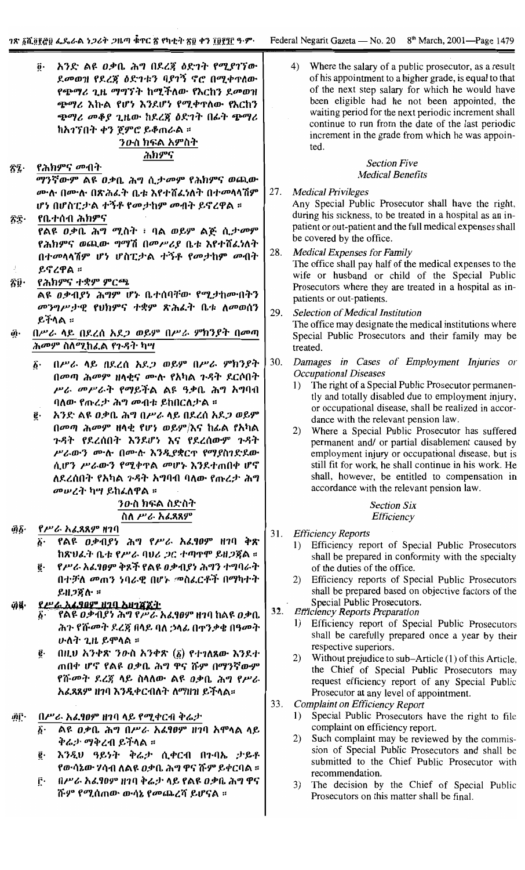አንድ ልዩ ዐቃቤ ሕግ በደረጃ ዕድገት የሚያገኘው Ő٠ ደመወዝ የደረጀ ዕድገቱን ባያገኝ ኖሮ በሚቀጥለው የጭማሪ ጊዜ ማግኘት ከሚችለው የእርከን ደመወዝ ጭማሪ እኩል የሆነ እንደሆነ የሚቀዋለው የእርከን ጭማሪ መቆያ ጊዜው ከደረጃ ዕድገት በፊት ጭማሪ ከአገኘበት ቀን ጀምሮ ይቆጠራል ፡፡ ንውስ ክፍል አምስት

# ሕክምና

የሕክምና *መ*ብት ŦÎ.

> ማንኛውም ልዩ ዐቃቤ ሕግ ሲታመም የሕክምና ወጪው ሙሉ በሙሉ በጽሕፌት ቤቱ እየተሸፌነለት በተመላላሽም ሆነ በሆስፒታል ተኝቶ የመታከም መብት ይኖረዋል ፡፡ የቤተሰብ ሕክምና

ŜΞ የልዩ ዐቃቤ ሕግ ሚስት ፥ ባል ወይም ልጅ ሲታመም የሕክምና ወጪው ግማሽ በመሥሪያ ቤቱ እየተሸፈነለት በተመላላሽም ሆነ ሆስፒታል ተኝቶ የመታከም መብት ይኖረዋል ።

- የሕክምና ተቋም ምርጫ Ŝŷ∙ <u>ልዩ ወቃብያነ ሕግም ሆኑ ቤተሰባቸው የሚታከሙበትን</u> መንግሥታዊ የህክምና ተቋም ጽሕፈት ቤቱ ለመወሰን ይችላል ።
- በሥራ ላይ በደረሰ አደ*ጋ ወ*ይም በሥራ ምክንያት በመጣ ĝ. ሕመም ስለሚከፌል የጉዳት ካሣ
	- በሥራ ላይ በደረሰ አደጋ ወይም በሥራ ምክንያት  $\vec{b}$ . በመጣ ሕመም ዘላቂና ሙሉ የአካል ጉዳት ደርሶበት ሥራ መሥራት የማይችል ልዩ ዓቃቤ ሕግ አግባብ ባለው የጡረታ ሕግ መብቱ ይከበርለታል ፡፡
	- አንድ ልዩ ዐቃቤ ሕግ በሥራ ላይ በደረሰ አደ*ጋ* ወይም ê٠ በመጣ ሕመም ዘላቂ የሆነ ወይም/እና ከፊል የአካል ጉዳት የደረሰበት እንደሆነ እና የደረሰውም ጉዳት ሥራውን ሙሉ በሙሉ እንዲያቋርዋ የማያስገድደው ሲሆን ሥራውን የሚቀዋል መሆኑ እንደተጠበቀ ሆኖ ለደረሰበት የአካል ጉዳት አግባብ ባለው የጡረታ ሕግ መሠረት ካሣ ይከፈለዋል ፡፡

# ንውስ ክፍል ስድስት ስለ ሥራ አፈጻጸም

የሥራ አፊጸጸም ዘገባ @§∙

- የልዩ ዐቃብያነ ሕግ የሥራ አፊፃዐም ዘገባ ቅጽ  $\ddot{\bm{b}}$  . ከጽህፈት ቤቱ የሥራ ባህሪ ጋር ተጣዋሞ ይዘጋጀል ።
- የሥራ አፈፃፀም ቅጾች የልዩ ዐቃብያነ ሕግን ተግባራት ĝ. በተቻለ መጠን ነባራዊ በሆኑ መስፌርቶች በማካተት  $R$ H $2$ ğ $R$  #

#### የሥራ አፈፃፀም ዘገባ አዘገጃጀት ad.

- የልዩ ወቃብያነ ሕግ*የሥራ* አፈፃፀም ዘገባ ከልዩ ወቃቤ ሕጉ የሹመት ደረጃ በላይ ባለ ኃላፊ በዋንቃቄ በዓመት ሁለት ጊዜ ይሞላል ፡፡
- በዚህ አንቀጽ ንውስ አንቀጽ  $(\delta)$  የተገለጸው እንደተ ë∙ ጠበቀ ሆኖ የልዩ ዐቃቤ ሕግ ዋና ሹም በማንኛውም የሹመት ደረጀ ላይ ስላለው ልዩ ዐቃቤ ሕግ የሥራ አፈጻጸም ዘገባ እንዲቀርብለት ለማዘዝ ይችላል።

#### ທີ່ເົ່ በሥራ አፊፃዐም ዘገባ ላይ የሚቀርብ ቅሬታ

- ልዩ ዐቃቤ ሕግ በሥራ አፈፃፀም ዘገባ አሞላል ላይ ۶۰. ቅሬታ ማቅረብ ይችላል ።
- እንዲህ ዓይነት ቅሬታ ሲቀርብ በጉባኤ ታይቶ የውሳኔው ሃሳብ ለልዩ ዐቃቤ ሕግ ዋና ሹም ይቀርባል ፡፡
- በሥራ አፈፃፀም ዘገባ ቅሬታ ላይ የልዩ ዐቃቤ ሕግ ዋና ŕ٠ ሹም የሚሰጠው ውሳኔ የመጨረሻ ይሆናል ፡፡

4) Where the salary of a public prosecutor, as a result of his appointment to a higher grade, is equal to that of the next step salary for which he would have been eligible had he not been appointed, the waiting period for the next periodic increment shall continue to run from the date of the last periodic increment in the grade from which he was appointed.

# **Section Five Medical Benefits**

- 27. **Medical Privileges** Any Special Public Prosecutor shall have the right, during his sickness, to be treated in a hospital as an inpatient or out-patient and the full medical expenses shall be covered by the office.
- 28. Medical Expenses for Family

The office shall pay half of the medical expenses to the wife or husband or child of the Special Public Prosecutors where they are treated in a hospital as inpatients or out-patients.

- 29. Selection of Medical Institution The office may designate the medical institutions where Special Public Prosecutors and their family may be treated.
- 30. Damages in Cases of Employment Injuries or **Occupational Diseases** 
	- 1) The right of a Special Public Prosecutor permanently and totally disabled due to employment injury, or occupational disease, shall be realized in accordance with the relevant pension law.
	- 2) Where a Special Public Prosecutor has suffered permanent and/ or partial disablement caused by employment injury or occupational disease, but is still fit for work, he shall continue in his work. He shall, however, be entitled to compensation in accordance with the relevant pension law.

# **Section Six** Efficiency

- 31. **Efficiency Reports** 
	- 1) Efficiency report of Special Public Prosecutors shall be prepared in conformity with the specialty of the duties of the office.
	- $(2)$ Efficiency reports of Special Public Prosecutors shall be prepared based on objective factors of the Special Public Prosecutors.
- $32.$ **Efficiency Reports Preparation** 
	- $\left| \right|$ Efficiency report of Special Public Prosecutors shall be carefully prepared once a year by their respective superiors.
	- Without prejudice to sub-Article (1) of this Article,  $(2)$ the Chief of Special Public Prosecutors may request efficiency report of any Special Public Prosecutor at any level of appointment.
- 33. **Complaint on Efficiency Report** 
	- $1)$ Special Public Prosecutors have the right to file complaint on efficiency report.
	- $(2)$ Such complaint may be reviewed by the commission of Special Public Prosecutors and shall be submitted to the Chief Public Prosecutor with recommendation.
	- 3) The decision by the Chief of Special Public Prosecutors on this matter shall be final.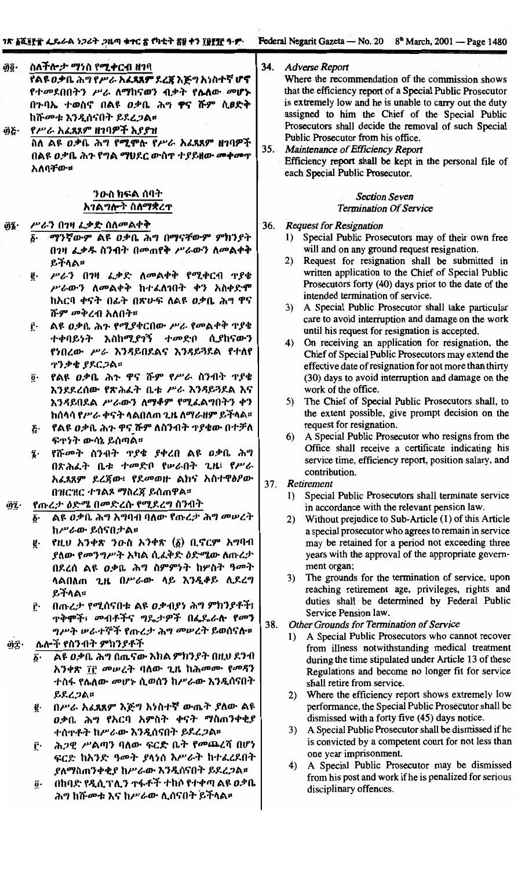#### 34. **Adverse Report**

ስ**ለችሎ***ታ ማነ***ስ የሚቀርብ ዘ**ገባ ĝĝ∙ የልዩ ዐቃቤ ሕግ የሥራ አፈጻጸም ደረጀ እጅግ አነስተኛ ሆኖ የተመደበበትን ሥራ ለማከናወን ብቃት የሌለው መሆኑ በንባኤ ተወስኖ በልዩ *ዐቃ*ቤ ሕግ **ዋና ሹ**ም ሲ**ፀድ**ቅ ከሹመቱ እንዲሰናበት ይደረጋል። የሥራ አፌጻጸም ዘገባዎች እያያዝ ĝ&∙

ስለ ልዩ ዐቃቤ ሕግ የሚሞሱ የሥራ አፈጻጸም ዘገባዎች በልዩ ዐቃቤ ሕጉ የግል ማህደር ውስጥ ተያይዘው መቀመጥ አለባቸው።

# ንውስ ክፍል ሰባት አገልግሎት ስለማቋረጥ

#### ሥራን በገዛ ፌቃድ ስለመልቀቅ ĝĮ.

- ማንኛውም ልዩ ዐቃቤ ሕግ በማናቸውም ምክንያት በንዛ ፌቃዱ ስንብት በመጠየቅ ሥራውን ስመልቀቅ ይችላል።
- ሥራን በገዛ ፌቃድ ለመልቀቅ የሚቀርብ ጥያቄ ĝ. ሥራውን ለመልቀቅ ከተፈለገበት ቀን አስቀድሞ ከአርባ ቀናት በፊት በጽሁፍ ለልዩ ዐቃቤ ሕግ ዋና ሹም መቅረብ አለበት።
- ልዩ ዐቃቤ ሕጉ የሚያቀርበው ሥራ የመልቀቅ ጥያቄ ŕ٠ ተቀባይነት እስከሚያገኝ ተመድቦ ሲያከናውን የነበረው ሥራ እንዳይበደልና እንዳይጓደል የተለየ **Tንቃቄ ያደርጋል።**
- <u>፬</u>· የልዩ ዐቃቤ ሕጉ ዋና ሹም የሥራ ስንብት ጥያቄ እንደደረሰው የጽሕፈት ቤቱ ሥራ እንዳይጓደል እና እንዳይበደል ሥራውን ለማቆም የሚፈልግበትን ቀን ከሰላሳ የሥራ ቀናት ላልበለጠ ጊዜ ለማራዘም ይችላል።
- <u>ξ</u>· የልዩ ዐቃቤ ሕጉ ዋና ሹም ለስንብት **ተያ**ቄው በተቻለ ፍተነት ውሳኔ ይሰጣል።
- የሹመት ስንብት ጥያቄ ያቀረበ ልዩ ዐቃቤ ሕግ Î. በጽሕፈት ቤቱ ተመድቦ የሥራበት ጊዜ፣ የሥራ አፈጸጸም ደረጀው፣ የደመወዙ ልክና አስተዋፅዖው በዝርዝር ተገልጾ ማስረጃ ይሰጠዋል፡፡

#### የጡረታ ዕድሜ በመድረሱ የሚደረግ ስንብት âî.

- ልዩ ዐቃቤ ሕግ አግባብ ባለው የጡረታ ሕግ መሠረት ከሥራው ይሰናበታል።
- የዚህ አንቀጽ ንውስ አንቀጽ (፩) ቢኖርም አግባብ ğ. ያለው የ*መንግሥት አ*ካል ሲፈቅድ ዕድሜው ለጡረ*ታ* በደረሰ ልዩ ወቃቤ ሕግ ስምምነት ከሦስት ዓመት ሳልበለጠ ጊዜ በሥራው ላይ እንዲቆይ ሲደረግ ይችላል።
- በጡረታ የሚሰናበቱ ልዩ ዐቃብያነ ሕግ ምክንያቶች፤ ŗ٠ <sub>ጥ</sub>ቅሞች፣ መብቶችና ግዴ*ታዎ*ች በፌዴራሎ የመን

#### ሌሎች የስንብት ምክንያቶች ĝΫ·

- ልዩ ዐቃቤ ሕግ በጤናው እክል ምክንያት በዚህ ደንብ አንቀጽ ፲፫ መሠረት ባለው ጊዜ ከሕመሙ የመዳን ተስፋ የሴለው መሆኑ ሲወሰን ከሥራው እንዲሰናበት ይደረጋል።
- በሥራ አፈጻጸም እጅግ አነስተኛ ውጤት ያለው ልዩ ĝ. ዐቃቤ ሕግ የአርባ አምስት ቀናት ማስጠንቀቂያ ተሰዋቶት ከሥራው እንዲሰናበት ይደረ*ጋ*ል።
- ሕጋዊ ሥልጣን ባለው ፍርድ ቤት የመጨረሻ በሆነ ŕ٠ ፍርድ ከእንድ ዓመት ያላነሰ እሥራት ከተፈረደበት ያለማስጠንቀቂያ ከሥራው እንዲሰናበት ይደረጋል።
- በከባድ የዲሲፕሊን ተፋቶች ተከሶ የተቀጣ ልዩ ዐቃቤ ĝ٠ ሕግ ከሹመቱ እና ከሥራው ሲሰናበት ይችላል።

Where the recommendation of the commission shows that the efficiency report of a Special Public Prosecutor is extremely low and he is unable to carry out the duty assigned to him the Chief of the Special Public Prosecutors shall decide the removal of such Special Public Prosecutor from his office.

 $35.$ Maintenance of Efficiency Report Efficiency report shall be kept in the personal file of each Special Public Prosecutor.

# **Section Seven Termination Of Service**

#### 36. **Request for Resignation**

- 1) Special Public Prosecutors may of their own free will and on any ground request resignation.
- Request for resignation shall be submitted in  $2)$ written application to the Chief of Special Public Prosecutors forty (40) days prior to the date of the intended termination of service.
- 3) A Special Public Prosecutor shall take particular care to avoid interruption and damage on the work until his request for resignation is accepted.
- On receiving an application for resignation, the  $4)$ Chief of Special Public Prosecutors may extend the effective date of resignation for not more than thirty (30) days to avoid interruption and damage on the work of the office.
- 5) The Chief of Special Public Prosecutors shall, to the extent possible, give prompt decision on the request for resignation.
- A Special Public Prosecutor who resigns from the  $6)$ Office shall receive a certificate indicating his service time, efficiency report, position salary, and contribution.

#### 37. Retirement

- 1) Special Public Prosecutors shall terminate service in accordance with the relevant pension law.
- Without prejudice to Sub-Article (1) of this Article  $2)$ a special prosecutor who agrees to remain in service may be retained for a period not exceeding three years with the approval of the appropriate government organ;
- The grounds for the termination of service, upon  $3)$ reaching retirement age, privileges, rights and duties shall be determined by Federal Public Service Pension law.

#### 38. Other Grounds for Termination of Service

- A Special Public Prosecutors who cannot recover  $1)$ from illness notwithstanding medical treatment during the time stipulated under Article 13 of these Regulations and become no longer fit for service shall retire from service.
- Where the efficiency report shows extremely low 2) performance, the Special Public Prosecutor shall be dismissed with a forty five (45) days notice.
- A Special Public Prosecutor shall be dismissed if he 3) is convicted by a competent court for not less than one year imprisonment.
- A Special Public Prosecutor may be dismissed  $\overline{4}$ from his post and work if he is penalized for serious disciplinary offences.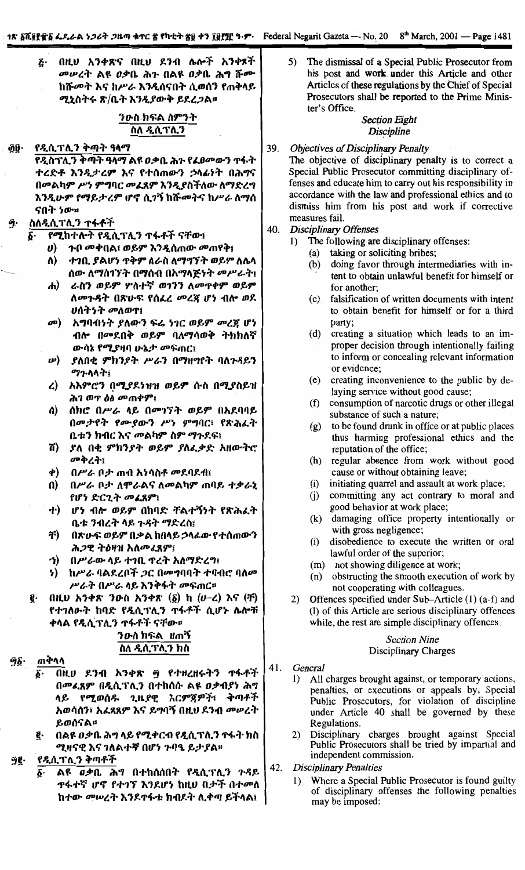በዚህ አንቀጽና በዚህ ደንብ ሌሎች አንቀጾች Ē٠ መሠረት ልዩ ዐቃቤ ሕጉ በልዩ ዐቃቤ ሕግ ሹሙ ከሹመት እና ከሥራ እንዲሰናበት ሲወሰን የጠቅላይ ሚኒስትሩ ጽ/ቤት እንዲያውቅ ይደረጋል።

# ንውስ ክፍል ስምንት ስለ ዲሲፕሊን

#### የዲሲፕሊን ቅጣት ዓላማ ĝÿ∙

የዲስፕሊን ቅጣት ዓላማ ልዩ ዐቃቤ ሕን የፌፀመውን ጥፋት ተረድቶ እንዲታረም እና የተሰጠውን ኃላፊነት በሕግና በመልካም ሥነ ምግባር መፈጸም እንዲያስችለው ለማድረግ እንዲሁም የማይታረም ሆኖ ሲገኝ ከሹመትና ከሥራ ለማሰ ናበት ነው።

# ስለዲሲፕሊን ተፋቶች

የ**ሚከተሉት የዲሲፕሊን ተፋቶች ናቸው**፤ δ.

- ጉበ መቀበል፣ ወይም እንዲሰጠው መጠየቅ፤  $\boldsymbol{\boldsymbol{v}}$
- ለ) ተገቢ ያልሆነ ተቅም ለራስ ለማግኘት ወይም ለሴላ ሰው ለማስገኘት በማሰብ በአማላጅነት መሥራት፤
- ራስን ወይም ሦስተኛ ወገንን ለመዋቀም ወይም ሐ) ለመጉዳት በጽሁፍ የሰፌረ መረጃ ሆነ ብሎ ወደ ሀሰትነት መለወዋ፤
- o<sup>p</sup> አግባብነት ያለውን ፍሬ ነገር ወይም መረጃ ሆነ ብሎ በመደበቅ ወይም ባለማሳወቅ ትክክለኛ ውሳኔ የሚያዛባ ሁኔታ መፍጠር፤
- $\boldsymbol{w}$ ያለበቂ ምክንያት ሥራን በማዘማየት ባለጉዳይን ማጉላላት፤
- አእምሮን በሚያደነዝዝ ወይም ሱስ በሚያስይዝ  $\mathcal{L}$ ሕገ ወጥ ዕፅ መጠቀም፤
- ሰክሮ በሥራ ላይ በመገኘት ወይም በአደባባይ ሰ) በመታየት የሙያውን ሥነ ምግባር፣ የጽሕፈት ቤቱን ክብር እና መልካም ስም ማጉደፍ፤
- ሽ) ያለ በቂ ምክንያት ወይም ያለፌቃድ አዘውትሮ መቅረት፤
- $\phi$ በሥራ ቦታ ጠብ አነሳስቶ መደባደብ፤
- $\mathbf{u}$ በሥራ ቦታ ለሞራልና ለመልካም ጠባይ ተቃራኒ የሆነ ድርጊት መፈጸም፤
- ሆነ ብሎ ወይም በከባድ ቸልተኝነት የጽሕፈት **ナ)** ቤቱ ንብረት ላይ ጉዳት ማድረስ፤
- 书) በጽሁፍ ወይም በቃል ከበላይ ኃላፊው የተሰጠውን ሕጋዊ ትዕዛዝ አለመፈጸም፤
- ኅ) -በሥራው ላይ ተገቢ ዋረት አለማድረግ፤
- ከሥራ ባልደረቦች *ጋ*ር በመግባባት ተባብሮ ባለመ 5) ሥራት በሥራ ላይ እንቅፋት መፍጠር።
- በዚህ አንቀጽ ንውስ አንቀጽ  $(\underline{\delta})$  ከ  $(\nu-\underline{\ell})$  እና  $(\underline{\mathbf{f}})$ ę. የተገለፁት ከባድ የዲሲፕሊን ተፋቶች ሲሆኑ ሌሎቹ ቀላል የዲሲፕሊን ተፋቶች ናቸው።

# *ንዑ*ስ ክፍል ዘጠኝ ስለ ዲሲፕሊን ክስ

#### ጠቅላላ ์ๆ§∙

- በዚህ ደንብ አንቀጽ ፵ የተዘረዘሩትን ተፋቶች Ä٠ በመፈጸም በዲሲፕሊን በተከሰሱ ልዩ ዐቃብያነ ሕግ ላይ የሚወሰዱ ጊዜያዊ እርምጀዎች፣ ቅጣቶች አወሳሰን፣ አፈጸጸም እና ይግባኝ በዚህ ደንብ መሥረት ይወሰናል።
- በልዩ ዐቃቤ ሕግ ላይ የሚቀርብ የዲሲፕሊን ተፋት ክስ ğ. ሚዛናዊ እና ገለልተኛ በሆነ ጉባዔ ይታያል፡፡

#### ŷğ. <u>የዲሲፕሊን ቅጣቶች</u>

ĝ٠ ልዩ *ዐቃ*ቤ ሕግ በተከሰሰበት የዲሲፕሊን ጉዳይ **ዋፋተኛ ሆኖ የተገኘ እን**ዶሆነ ከዚህ በታች በተመለ ከተው መሠረት እንደጥፋቱ ክብደት ሊቀጣ ይችላል፤

The dismissal of a Special Public Prosecutor from 5) his post and work under this Article and other Articles of these regulations by the Chief of Special Prosecutors shall be reported to the Prime Minister's Office.

# **Section Eight Discipline**

#### 39. **Objectives of Disciplinary Penalty**

The objective of disciplinary penalty is to correct a Special Public Prosecutor committing disciplinary offenses and educate him to carry out his responsibility in accordance with the law and professional ethics and to dismiss him from his post and work if corrective measures fail.

- 40. **Disciplinary Offenses** 
	- The following are disciplinary offenses:  $1)$ 
		- (a) taking or soliciting bribes;
		- doing favor through intermediaries with in- $(b)$ tent to obtain unlawful benefit for himself or for another:
		- falsification of written documents with intent  $(c)$ to obtain benefit for himself or for a third party;
		- (d) creating a situation which leads to an improper decision through intentionally failing to inform or concealing relevant information or evidence:
		- creating inconvenience to the public by de- $(e)$ laying service without good cause;
		- consumption of narcotic drugs or other illegal  $(f)$ substance of such a nature;
		- (g) to be found drunk in office or at public places thus harming professional ethics and the reputation of the office;
		- (h) regular absence from work without good cause or without obtaining leave;
		- $(i)$ initiating quarrel and assault at work place;
		- $(i)$ committing any act contrary to moral and good behavior at work place;
		- (k) damaging office property intentionally or with gross negligence;
		- $(1)$ disobedience to execute the written or oral lawful order of the superior;
		- (m) not showing diligence at work;
		- (n) obstructing the smooth execution of work by not cooperating with colleagues.
	- $2)$ Offences specified under Sub-Article (1) (a-f) and (l) of this Article are serious disciplinary offences while, the rest are simple disciplinary offences.

# **Section Nine** Disciplinary Charges

- 41. General
	- All charges brought against, or temporary actions,  $1)$ penalties, or executions or appeals by, Special Public Prosecutors, for violation of discipline under Article 40 shall be governed by these Regulations.
	- Disciplinary charges brought against Special 2) Public Prosecutors shall be tried by impartial and independent commission.
- 42. **Disciplinary Penalties** 
	- Where a Special Public Prosecutor is found guilty 1) of disciplinary offenses the following penalties may be imposed: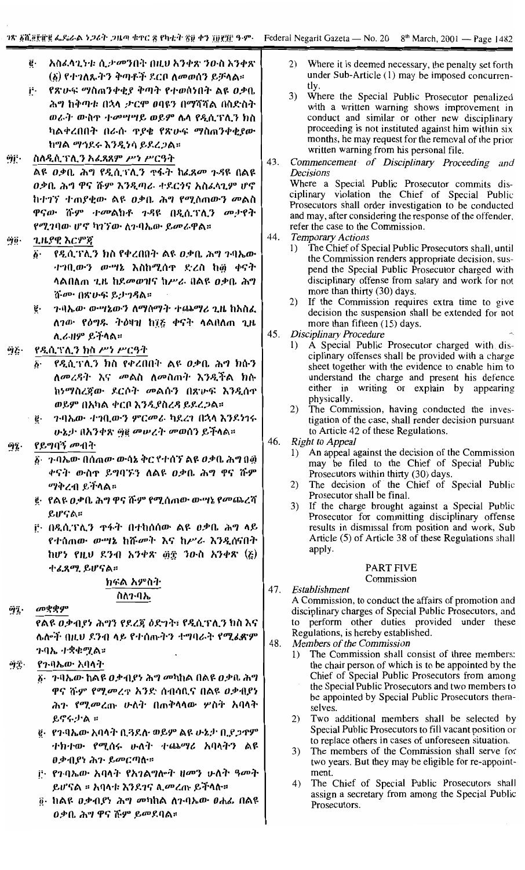- ġ. አስፈላጊነቱ ሲታመንበት በዚህ አንቀጽ ንዑስ አንቀጽ (፩) የተገለጹትን ቅጣቶች ደርቦ ለመወሰን ይቻላል።
- የጽሁፍ ማስጠንቀቂያ ቅጣት የተወሰነበት ልዩ ዐቃቤ j, ሕግ ከቅጣቱ በኋላ ታርሞ ወባዩን በማሻሻል በስድስት ወራት ውስዋ ተመሣሣይ ወይም ሴላ የዲሲፕሊን ክስ ካልቀረበበት በራሱ ዋያቄ የጽሁፍ ማስጠንቀቂያው ከግል ማኅደሩ እንዲነሳ ይደረጋል።

#### ስለዲሲፕሊን አፈጻጸም ሥነ ሥርዓት ijβ.

ልዩ ዐቃቤ ሕግ የዲሲፕሊን ዋፋት ከፊጸመ ጉዳዩ በልዩ ዐቃቤ ሕግ ዋና ሹም እንዲጣራ ተደርጎና አስፈላጊም ሆኖ ከተገኘ ተጠያቂው ልዩ ዐቃቤ ሕግ የሚሰጠውን መልስ ዋናው ሹም ተመልክቶ ጉዳዩ በዲሲፕሊን መታየት የሚገባው ሆኖ ካገኘው ለጉባኤው ይመራዋል።

- ጊዜያዊ እርምጃ òjö.
	- የዲሲፕሊን ክስ የቀረበበት ልዩ ዐቃቤ ሕግ ጉባኤው ö. ተገቢውን ውሣኔ እስከሚሰዋ ድረስ ከ፴ ቀናት ሳልበለጠ ጊዜ ከደመወዝና ከሥራ በልዩ *ዐ*ቃቤ ሕግ ሹሙ በጽሁፍ ይታገዳል።
	- ንባኤው ውሣኔውን ለማሰማት ተጨማሪ ጊዜ ከአስፈ g. ለገው የዕግዱ ትዕዛዝ ከ፲፩ ቀናት ላልበለጠ ጊዜ ሊራዘም ይችላል።

#### የዲሲፕሊን ክስ ሥነ ሥርዓት ŷζ·

- የዲሲገናሊን ክስ የቀረበበት ልዩ ወቃቤ ሕግ ክሱን  $\ddot{b}$ . ለመረዳት እና መልስ ለመስጠት እንዲችል ክሱ ከነማስረጀው ደርሶት መልሱን በጽሁፍ እንዲሰዋ ወይም በአካል ቀርቦ እንዲያስረዳ ይደረጋል።
- ንባኤው ተግቢውን ምርመራ ካደረገ በኋላ እንደነገሩ ë. ሁኔታ በአንቀጽ ፵፪ መሥረት መወሰን ይችላል።

#### የይግባኝ መብት Ŷį.

- ፩· ጉባኤው በሰጠው ውሳኔ ቅር የተሰኘ ልዩ ዐቃቤ ሕግ በ፴ ቀናት ውስኖ ይግባኙን ለልዩ ዐቃቤ ሕግ ዋና ሹም *ማቅረ*ብ ይችላል።
- ፪· የልዩ ዐቃቤ ሕግ ዋና ሹም የሚሰጠው ውሣኔ የመጨረሻ ይሆናል።
- <u>ቮ በዲሲፕሊን ዋፋት በተከሰሰው ልዩ ዐቃቤ ሕግ ላይ</u> የተሰጠው ውሣኔ ከሹመት እና ከሥራ እንዲሰናበት ከሆነ የዚህ ደንብ አንቀጽ ፴፰ ንውስ አንቀጽ (፩) ተፈጸሚ ይሆናል።

# ክፍል አምስት ስለንብኤ

**а**рффу ΰĵ.

> የልዩ ዐቃብያነ ሕግን የደረጃ ዕድገት፣ የዲሲፕሊን ክስ እና ሌሎች በዚህ ደንብ ላይ የተሰጡትን ተግባራት የሚፈጽም ንባኤ *ተ*ቋቁሟል።

- የንብኤው አባላት ΰŕ.
	- <u>δο ንብኤው ከልዩ ዐቃብያን ሕግ መካከል በልዩ ዐቃቤ ሕግ</u> ዋና ሹም የሚመረዋ አንድ ሰብሳቢና በልዩ ዐቃብያነ ሕን የሚመረጡ ሁለት በጠቅላላው ሦስት አባላት ይኖሩ ታል ።
	- ፪· የንብኤው አባላት ቢ3ደሉ ወይም ልዩ ሁኔታ ቢያጋዋም ተክተው የሚሰሩ ሁለት ተጨማሪ አባላትን ልዩ ዐቃብያነ ሕን ይመርጣስ።
	- i<sup>3</sup>· የንባኤው አባላት የአገልግሎት ዘመን ሁለት ዓመት ይሆናል ፡፡ አባላቱ እንደገና ሊመረጡ ይችላሉ።
	- <u>ë</u>· ከልዩ *ዐቃብያነ ሕግ መካ*ከል ለንባኤው *ፀሐ*ፌ በልዩ ዐቃቤ ሕግ ዋና ሹም ይመደባል።
- $(2)$ Where it is deemed necessary, the penalty set forth under Sub-Article (1) may be imposed concurrentlv.
- $3)$ Where the Special Public Prosecutor penalized with a written warning shows improvement in conduct and similar or other new disciplinary proceeding is not instituted against him within six months, he may request for the removal of the prior written warning from his personal file.
- Commencement of Disciplinary Proceeding and 43. Decisions Where a Special Public Prosecutor commits disciplinary violation the Chief of Special Public Prosecutors shall order investigation to be conducted and may, after considering the response of the offender, refer the case to the Commission.
- 44. **Temporary Actions** 
	- The Chief of Special Public Prosecutors shall, until  $1)$ the Commission renders appropriate decision, suspend the Special Public Prosecutor charged with disciplinary offense from salary and work for not more than thirty (30) days.
	- $2)$ If the Commission requires extra time to give decision the suspension shall be extended for not more than fifteen (15) days.
- 45. **Disciplinary Procedure** 
	- A Special Public Prosecutor charged with dis- $\left( \right)$ ciplinary offenses shall be provided with a charge sheet together with the evidence to enable him to understand the charge and present his defence<br>either in writing or explain by appearing physically.
	- 2) The Commission, having conducted the investigation of the case, shall render decision pursuant to Article 42 of these Regulations.

46. Right to Appeal

- An appeal against the decision of the Commission  $1)$ may be filed to the Chief of Special Public Prosecutors within thirty (30) days.
- The decision of the Chief of Special Public  $(2)$ Prosecutor shall be final.
- $3)$ If the charge brought against a Special Public Prosecutor for committing disciplinary offense results in dismissal from position and work, Sub Article (5) of Article 38 of these Regulations shall apply.

# PART FIVE

# Commission

47. Establishment

A Commission, to conduct the affairs of promotion and disciplinary charges of Special Public Prosecutors, and to perform other duties provided under these Regulations, is hereby established.

48. Members of the Commission

- The Commission shall consist of three members:  $1)$ the chair person of which is to be appointed by the Chief of Special Public Prosecutors from among the Special Public Prosecutors and two members to be appointed by Special Public Prosecutors themselves.
- Two additional members shall be selected by 2) Special Public Prosecutors to fill vacant position or to replace others in cases of unforeseen situation.
- The members of the Commission shall serve for 3) two years. But they may be eligible for re-appointment.
- The Chief of Special Public Prosecutors shall  $4)$ assign a secretary from among the Special Public Prosecutors.